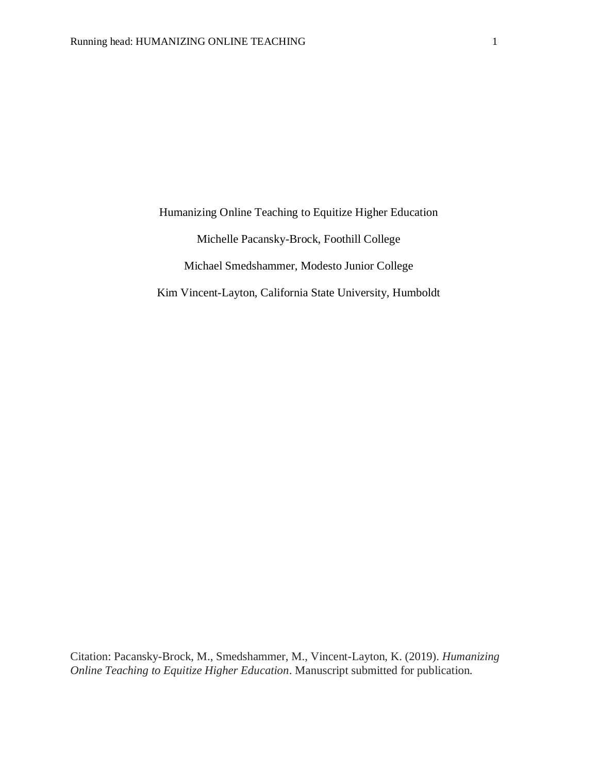Humanizing Online Teaching to Equitize Higher Education Michelle Pacansky-Brock, Foothill College Michael Smedshammer, Modesto Junior College Kim Vincent-Layton, California State University, Humboldt

Citation: Pacansky-Brock, M., Smedshammer, M., Vincent-Layton, K. (2019). *Humanizing Online Teaching to Equitize Higher Education*. Manuscript submitted for publication.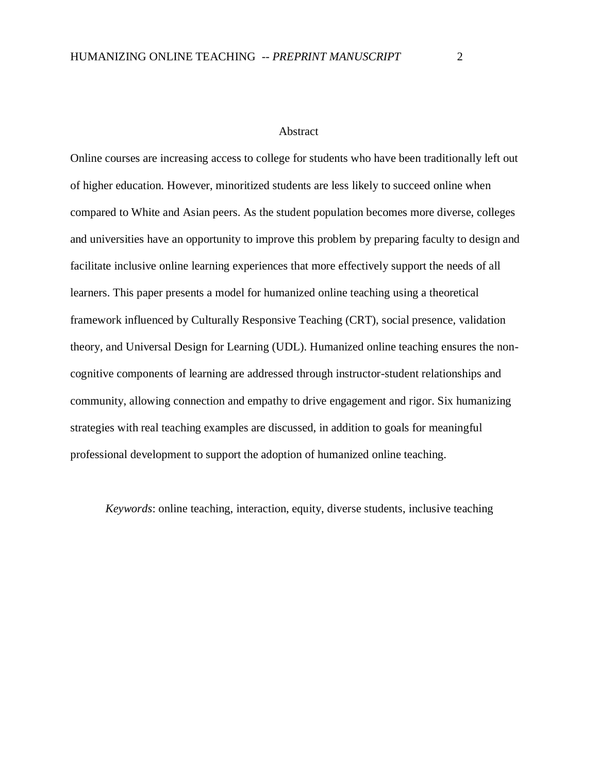## Abstract

Online courses are increasing access to college for students who have been traditionally left out of higher education. However, minoritized students are less likely to succeed online when compared to White and Asian peers. As the student population becomes more diverse, colleges and universities have an opportunity to improve this problem by preparing faculty to design and facilitate inclusive online learning experiences that more effectively support the needs of all learners. This paper presents a model for humanized online teaching using a theoretical framework influenced by Culturally Responsive Teaching (CRT), social presence, validation theory, and Universal Design for Learning (UDL). Humanized online teaching ensures the noncognitive components of learning are addressed through instructor-student relationships and community, allowing connection and empathy to drive engagement and rigor. Six humanizing strategies with real teaching examples are discussed, in addition to goals for meaningful professional development to support the adoption of humanized online teaching.

*Keywords*: online teaching, interaction, equity, diverse students, inclusive teaching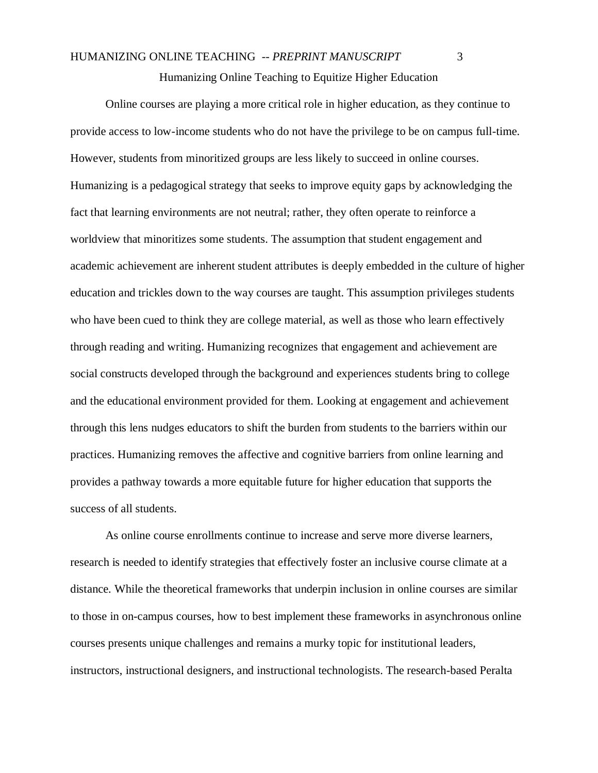Humanizing Online Teaching to Equitize Higher Education

Online courses are playing a more critical role in higher education, as they continue to provide access to low-income students who do not have the privilege to be on campus full-time. However, students from minoritized groups are less likely to succeed in online courses. Humanizing is a pedagogical strategy that seeks to improve equity gaps by acknowledging the fact that learning environments are not neutral; rather, they often operate to reinforce a worldview that minoritizes some students. The assumption that student engagement and academic achievement are inherent student attributes is deeply embedded in the culture of higher education and trickles down to the way courses are taught. This assumption privileges students who have been cued to think they are college material, as well as those who learn effectively through reading and writing. Humanizing recognizes that engagement and achievement are social constructs developed through the background and experiences students bring to college and the educational environment provided for them. Looking at engagement and achievement through this lens nudges educators to shift the burden from students to the barriers within our practices. Humanizing removes the affective and cognitive barriers from online learning and provides a pathway towards a more equitable future for higher education that supports the success of all students.

As online course enrollments continue to increase and serve more diverse learners, research is needed to identify strategies that effectively foster an inclusive course climate at a distance. While the theoretical frameworks that underpin inclusion in online courses are similar to those in on-campus courses, how to best implement these frameworks in asynchronous online courses presents unique challenges and remains a murky topic for institutional leaders, instructors, instructional designers, and instructional technologists. The research-based Peralta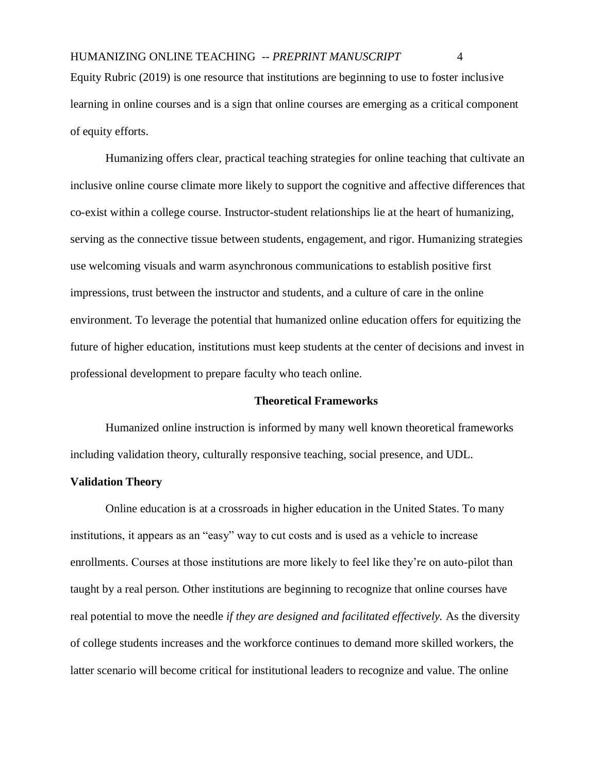Equity Rubric (2019) is one resource that institutions are beginning to use to foster inclusive learning in online courses and is a sign that online courses are emerging as a critical component of equity efforts.

Humanizing offers clear, practical teaching strategies for online teaching that cultivate an inclusive online course climate more likely to support the cognitive and affective differences that co-exist within a college course. Instructor-student relationships lie at the heart of humanizing, serving as the connective tissue between students, engagement, and rigor. Humanizing strategies use welcoming visuals and warm asynchronous communications to establish positive first impressions, trust between the instructor and students, and a culture of care in the online environment. To leverage the potential that humanized online education offers for equitizing the future of higher education, institutions must keep students at the center of decisions and invest in professional development to prepare faculty who teach online.

### **Theoretical Frameworks**

Humanized online instruction is informed by many well known theoretical frameworks including validation theory, culturally responsive teaching, social presence, and UDL.

#### **Validation Theory**

Online education is at a crossroads in higher education in the United States. To many institutions, it appears as an "easy" way to cut costs and is used as a vehicle to increase enrollments. Courses at those institutions are more likely to feel like they're on auto-pilot than taught by a real person. Other institutions are beginning to recognize that online courses have real potential to move the needle *if they are designed and facilitated effectively.* As the diversity of college students increases and the workforce continues to demand more skilled workers, the latter scenario will become critical for institutional leaders to recognize and value. The online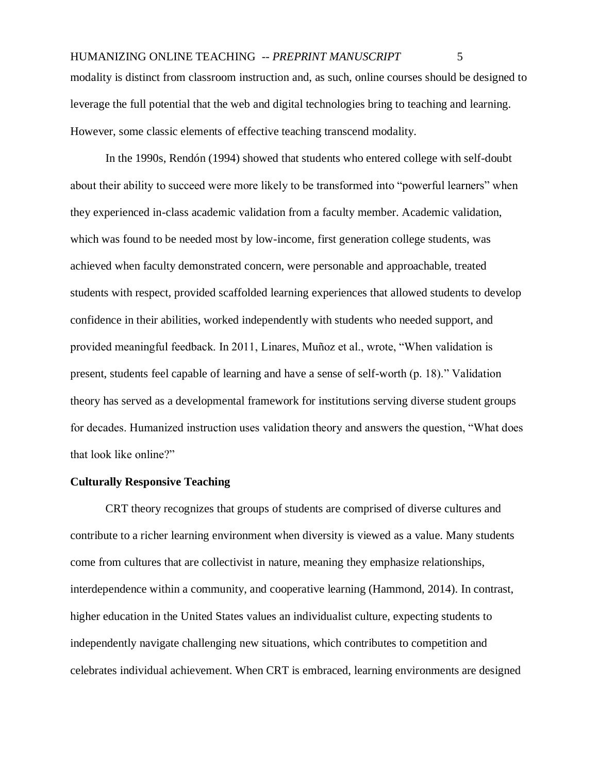modality is distinct from classroom instruction and, as such, online courses should be designed to leverage the full potential that the web and digital technologies bring to teaching and learning. However, some classic elements of effective teaching transcend modality.

In the 1990s, Rendón (1994) showed that students who entered college with self-doubt about their ability to succeed were more likely to be transformed into "powerful learners" when they experienced in-class academic validation from a faculty member. Academic validation, which was found to be needed most by low-income, first generation college students, was achieved when faculty demonstrated concern, were personable and approachable, treated students with respect, provided scaffolded learning experiences that allowed students to develop confidence in their abilities, worked independently with students who needed support, and provided meaningful feedback. In 2011, Linares, Muñoz et al., wrote, "When validation is present, students feel capable of learning and have a sense of self-worth (p. 18)." Validation theory has served as a developmental framework for institutions serving diverse student groups for decades. Humanized instruction uses validation theory and answers the question, "What does that look like online?"

## **Culturally Responsive Teaching**

CRT theory recognizes that groups of students are comprised of diverse cultures and contribute to a richer learning environment when diversity is viewed as a value. Many students come from cultures that are collectivist in nature, meaning they emphasize relationships, interdependence within a community, and cooperative learning (Hammond, 2014). In contrast, higher education in the United States values an individualist culture, expecting students to independently navigate challenging new situations, which contributes to competition and celebrates individual achievement. When CRT is embraced, learning environments are designed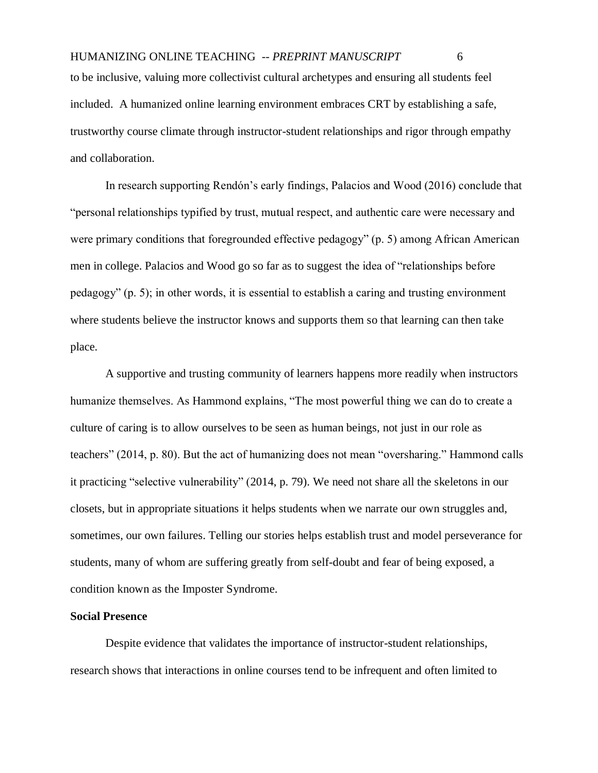included. A humanized online learning environment embraces CRT by establishing a safe, trustworthy course climate through instructor-student relationships and rigor through empathy and collaboration.

In research supporting Rendón's early findings, Palacios and Wood (2016) conclude that "personal relationships typified by trust, mutual respect, and authentic care were necessary and were primary conditions that foregrounded effective pedagogy" (p. 5) among African American men in college. Palacios and Wood go so far as to suggest the idea of "relationships before pedagogy" (p. 5); in other words, it is essential to establish a caring and trusting environment where students believe the instructor knows and supports them so that learning can then take place.

A supportive and trusting community of learners happens more readily when instructors humanize themselves. As Hammond explains, "The most powerful thing we can do to create a culture of caring is to allow ourselves to be seen as human beings, not just in our role as teachers" (2014, p. 80). But the act of humanizing does not mean "oversharing." Hammond calls it practicing "selective vulnerability" (2014, p. 79). We need not share all the skeletons in our closets, but in appropriate situations it helps students when we narrate our own struggles and, sometimes, our own failures. Telling our stories helps establish trust and model perseverance for students, many of whom are suffering greatly from self-doubt and fear of being exposed, a condition known as the Imposter Syndrome.

#### **Social Presence**

Despite evidence that validates the importance of instructor-student relationships, research shows that interactions in online courses tend to be infrequent and often limited to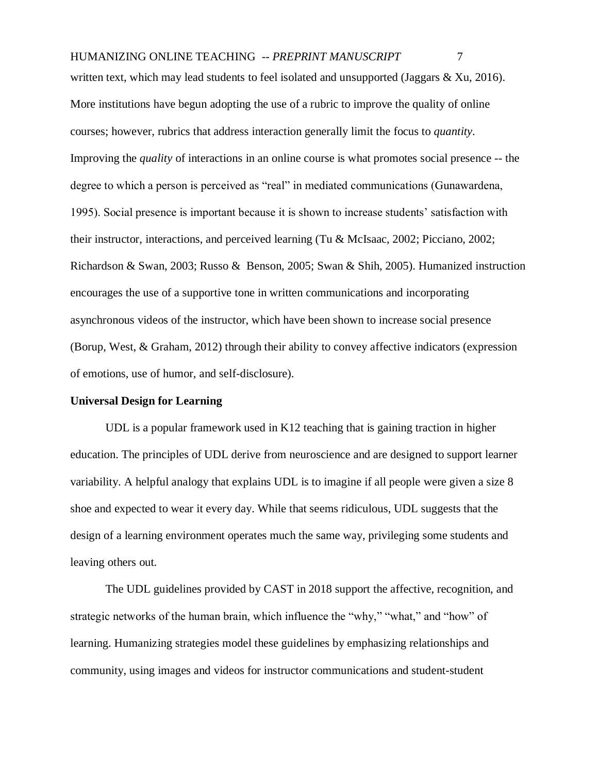written text, which may lead students to feel isolated and unsupported (Jaggars & Xu, 2016). More institutions have begun adopting the use of a rubric to improve the quality of online courses; however, rubrics that address interaction generally limit the focus to *quantity*. Improving the *quality* of interactions in an online course is what promotes social presence -- the degree to which a person is perceived as "real" in mediated communications (Gunawardena, 1995). Social presence is important because it is shown to increase students' satisfaction with their instructor, interactions, and perceived learning (Tu & McIsaac, 2002; Picciano, 2002; Richardson & Swan, 2003; Russo & Benson, 2005; Swan & Shih, 2005). Humanized instruction encourages the use of a supportive tone in written communications and incorporating asynchronous videos of the instructor, which have been shown to increase social presence (Borup, West, & Graham, 2012) through their ability to convey affective indicators (expression of emotions, use of humor, and self-disclosure).

### **Universal Design for Learning**

UDL is a popular framework used in K12 teaching that is gaining traction in higher education. The principles of UDL derive from neuroscience and are designed to support learner variability. A helpful analogy that explains UDL is to imagine if all people were given a size 8 shoe and expected to wear it every day. While that seems ridiculous, UDL suggests that the design of a learning environment operates much the same way, privileging some students and leaving others out.

The UDL guidelines provided by CAST in 2018 support the affective, recognition, and strategic networks of the human brain, which influence the "why," "what," and "how" of learning. Humanizing strategies model these guidelines by emphasizing relationships and community, using images and videos for instructor communications and student-student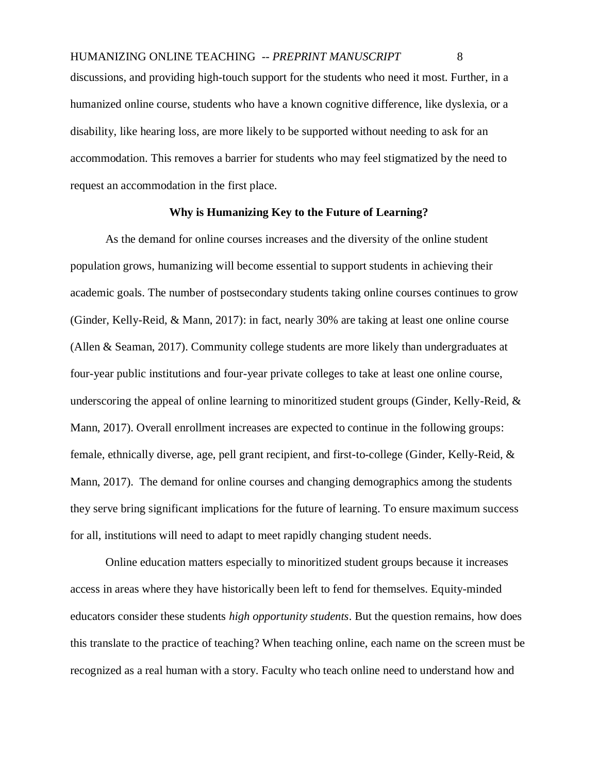discussions, and providing high-touch support for the students who need it most. Further, in a humanized online course, students who have a known cognitive difference, like dyslexia, or a disability, like hearing loss, are more likely to be supported without needing to ask for an accommodation. This removes a barrier for students who may feel stigmatized by the need to request an accommodation in the first place.

## **Why is Humanizing Key to the Future of Learning?**

As the demand for online courses increases and the diversity of the online student population grows, humanizing will become essential to support students in achieving their academic goals. The number of postsecondary students taking online courses continues to grow (Ginder, Kelly-Reid, & Mann, 2017): in fact, nearly 30% are taking at least one online course (Allen & Seaman, 2017). Community college students are more likely than undergraduates at four-year public institutions and four-year private colleges to take at least one online course, underscoring the appeal of online learning to minoritized student groups (Ginder, Kelly-Reid,  $\&$ Mann, 2017). Overall enrollment increases are expected to continue in the following groups: female, ethnically diverse, age, pell grant recipient, and first-to-college (Ginder, Kelly-Reid, & Mann, 2017). The demand for online courses and changing demographics among the students they serve bring significant implications for the future of learning. To ensure maximum success for all, institutions will need to adapt to meet rapidly changing student needs.

Online education matters especially to minoritized student groups because it increases access in areas where they have historically been left to fend for themselves. Equity-minded educators consider these students *high opportunity students*. But the question remains, how does this translate to the practice of teaching? When teaching online, each name on the screen must be recognized as a real human with a story. Faculty who teach online need to understand how and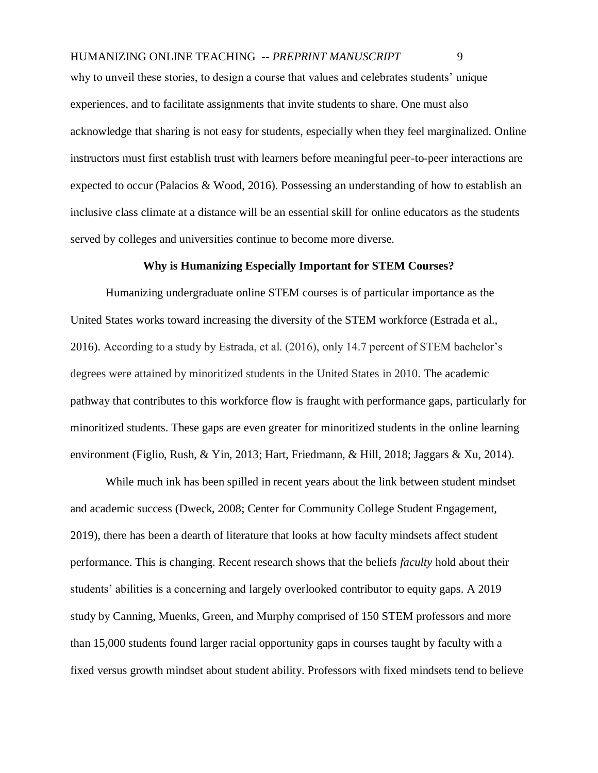why to unveil these stories, to design a course that values and celebrates students' unique experiences, and to facilitate assignments that invite students to share. One must also acknowledge that sharing is not easy for students, especially when they feel marginalized. Online instructors must first establish trust with learners before meaningful peer-to-peer interactions are expected to occur (Palacios & Wood, 2016). Possessing an understanding of how to establish an inclusive class climate at a distance will be an essential skill for online educators as the students served by colleges and universities continue to become more diverse.

# **Why is Humanizing Especially Important for STEM Courses?**

Humanizing undergraduate online STEM courses is of particular importance as the United States works toward increasing the diversity of the STEM workforce (Estrada et al., 2016). According to a study by Estrada, et al. (2016), only 14.7 percent of STEM bachelor's degrees were attained by minoritized students in the United States in 2010. The academic pathway that contributes to this workforce flow is fraught with performance gaps, particularly for minoritized students. These gaps are even greater for minoritized students in the online learning environment (Figlio, Rush, & Yin, 2013; Hart, Friedmann, & Hill, 2018; Jaggars & Xu, 2014).

While much ink has been spilled in recent years about the link between student mindset and academic success (Dweck, 2008; Center for Community College Student Engagement, 2019), there has been a dearth of literature that looks at how faculty mindsets affect student performance. This is changing. Recent research shows that the beliefs *faculty* hold about their students' abilities is a concerning and largely overlooked contributor to equity gaps. A 2019 study by Canning, Muenks, Green, and Murphy comprised of 150 STEM professors and more than 15,000 students found larger racial opportunity gaps in courses taught by faculty with a fixed versus growth mindset about student ability. Professors with fixed mindsets tend to believe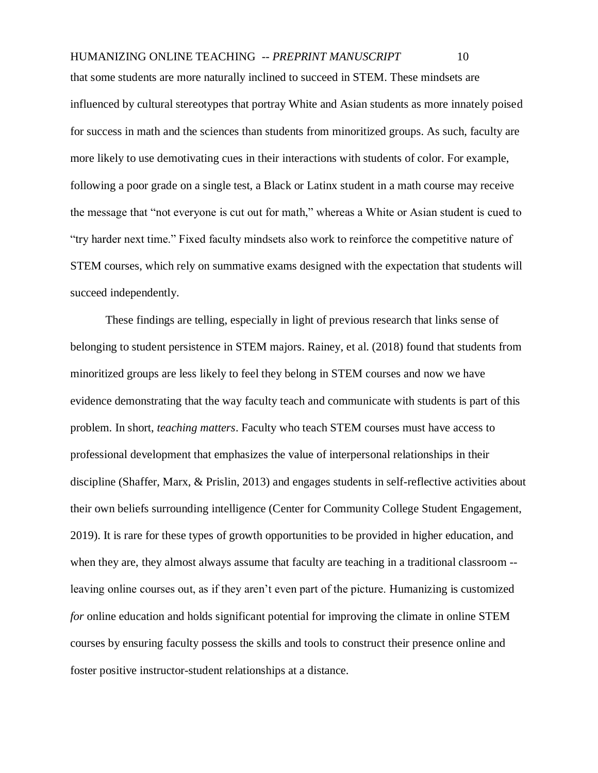that some students are more naturally inclined to succeed in STEM. These mindsets are influenced by cultural stereotypes that portray White and Asian students as more innately poised for success in math and the sciences than students from minoritized groups. As such, faculty are more likely to use demotivating cues in their interactions with students of color. For example, following a poor grade on a single test, a Black or Latinx student in a math course may receive the message that "not everyone is cut out for math," whereas a White or Asian student is cued to "try harder next time." Fixed faculty mindsets also work to reinforce the competitive nature of STEM courses, which rely on summative exams designed with the expectation that students will succeed independently.

These findings are telling, especially in light of previous research that links sense of belonging to student persistence in STEM majors. Rainey, et al. (2018) found that students from minoritized groups are less likely to feel they belong in STEM courses and now we have evidence demonstrating that the way faculty teach and communicate with students is part of this problem. In short, *teaching matters*. Faculty who teach STEM courses must have access to professional development that emphasizes the value of interpersonal relationships in their discipline (Shaffer, Marx, & Prislin, 2013) and engages students in self-reflective activities about their own beliefs surrounding intelligence (Center for Community College Student Engagement, 2019). It is rare for these types of growth opportunities to be provided in higher education, and when they are, they almost always assume that faculty are teaching in a traditional classroom -leaving online courses out, as if they aren't even part of the picture. Humanizing is customized *for* online education and holds significant potential for improving the climate in online STEM courses by ensuring faculty possess the skills and tools to construct their presence online and foster positive instructor-student relationships at a distance.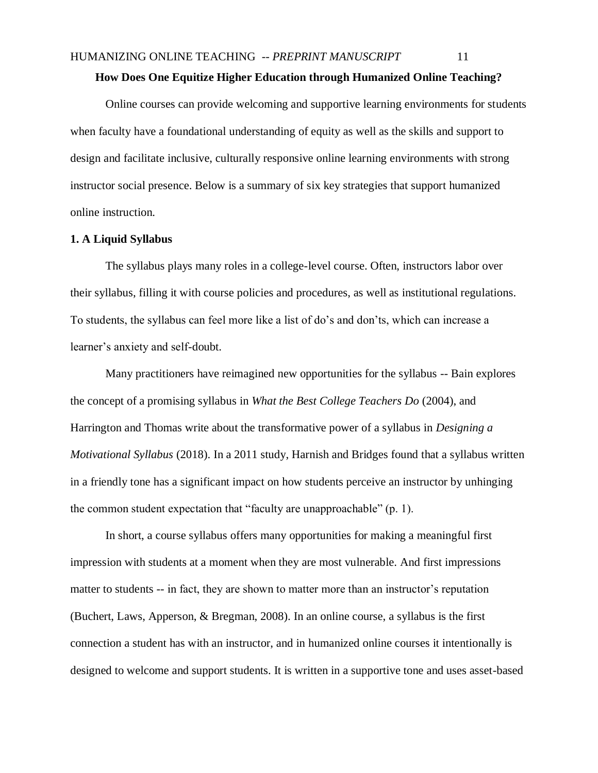# **How Does One Equitize Higher Education through Humanized Online Teaching?**

Online courses can provide welcoming and supportive learning environments for students when faculty have a foundational understanding of equity as well as the skills and support to design and facilitate inclusive, culturally responsive online learning environments with strong instructor social presence. Below is a summary of six key strategies that support humanized online instruction.

### **1. A Liquid Syllabus**

The syllabus plays many roles in a college-level course. Often, instructors labor over their syllabus, filling it with course policies and procedures, as well as institutional regulations. To students, the syllabus can feel more like a list of do's and don'ts, which can increase a learner's anxiety and self-doubt.

Many practitioners have reimagined new opportunities for the syllabus -- Bain explores the concept of a promising syllabus in *What the Best College Teachers Do* (2004), and Harrington and Thomas write about the transformative power of a syllabus in *Designing a Motivational Syllabus* (2018). In a 2011 study, Harnish and Bridges found that a syllabus written in a friendly tone has a significant impact on how students perceive an instructor by unhinging the common student expectation that "faculty are unapproachable" (p. 1).

In short, a course syllabus offers many opportunities for making a meaningful first impression with students at a moment when they are most vulnerable. And first impressions matter to students -- in fact, they are shown to matter more than an instructor's reputation (Buchert, Laws, Apperson, & Bregman, 2008). In an online course, a syllabus is the first connection a student has with an instructor, and in humanized online courses it intentionally is designed to welcome and support students. It is written in a supportive tone and uses asset-based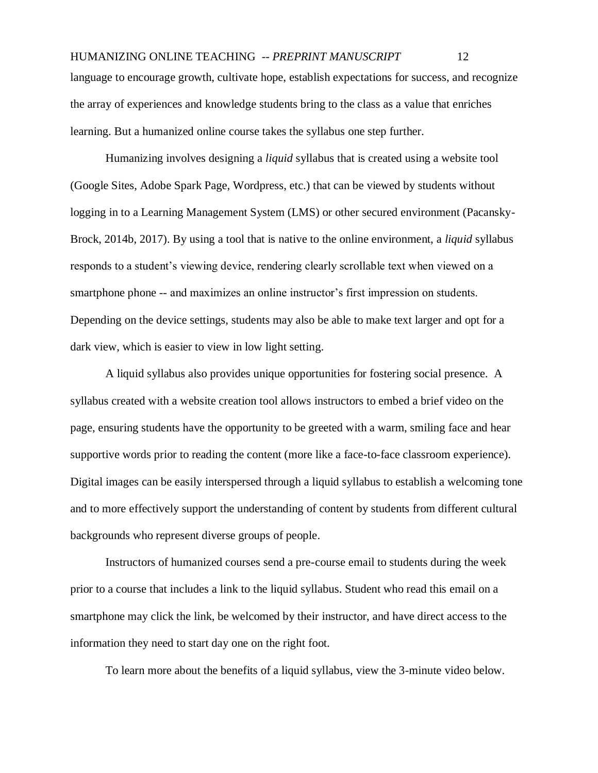# HUMANIZING ONLINE TEACHING -- *PREPRINT MANUSCRIPT* 12 language to encourage growth, cultivate hope, establish expectations for success, and recognize the array of experiences and knowledge students bring to the class as a value that enriches learning. But a humanized online course takes the syllabus one step further.

Humanizing involves designing a *liquid* syllabus that is created using a website tool (Google Sites, Adobe Spark Page, Wordpress, etc.) that can be viewed by students without logging in to a Learning Management System (LMS) or other secured environment (Pacansky-Brock, 2014b, 2017). By using a tool that is native to the online environment, a *liquid* syllabus responds to a student's viewing device, rendering clearly scrollable text when viewed on a smartphone phone -- and maximizes an online instructor's first impression on students. Depending on the device settings, students may also be able to make text larger and opt for a dark view, which is easier to view in low light setting.

A liquid syllabus also provides unique opportunities for fostering social presence. A syllabus created with a website creation tool allows instructors to embed a brief video on the page, ensuring students have the opportunity to be greeted with a warm, smiling face and hear supportive words prior to reading the content (more like a face-to-face classroom experience). Digital images can be easily interspersed through a liquid syllabus to establish a welcoming tone and to more effectively support the understanding of content by students from different cultural backgrounds who represent diverse groups of people.

Instructors of humanized courses send a pre-course email to students during the week prior to a course that includes a link to the liquid syllabus. Student who read this email on a smartphone may click the link, be welcomed by their instructor, and have direct access to the information they need to start day one on the right foot.

To learn more about the benefits of a liquid syllabus, view the 3-minute video below.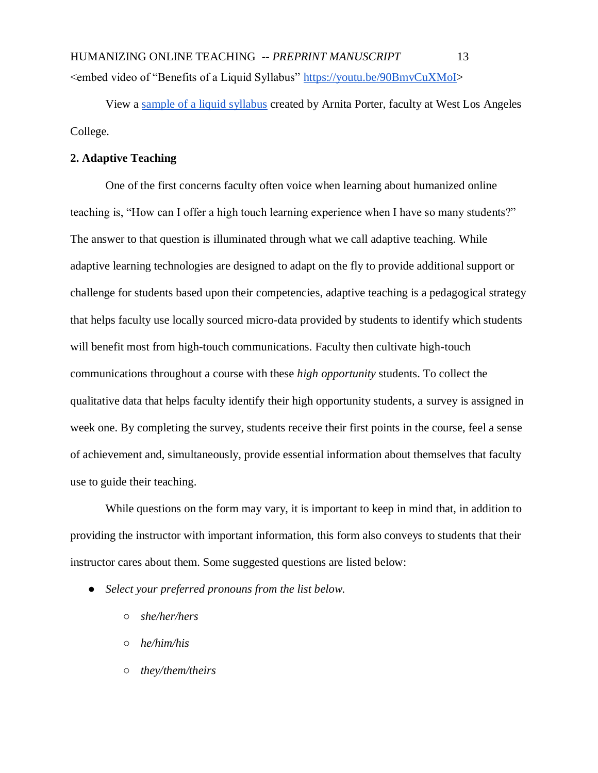HUMANIZING ONLINE TEACHING -- *PREPRINT MANUSCRIPT* 13 <embed video of "Benefits of a Liquid Syllabus" [https://youtu.be/90BmvCuXMoI>](https://youtu.be/90BmvCuXMoI)

View a [sample of a liquid syllabus](https://sites.google.com/view/dr-porter-re-005-f19) created by Arnita Porter, faculty at West Los Angeles College.

## **2. Adaptive Teaching**

One of the first concerns faculty often voice when learning about humanized online teaching is, "How can I offer a high touch learning experience when I have so many students?" The answer to that question is illuminated through what we call adaptive teaching. While adaptive learning technologies are designed to adapt on the fly to provide additional support or challenge for students based upon their competencies, adaptive teaching is a pedagogical strategy that helps faculty use locally sourced micro-data provided by students to identify which students will benefit most from high-touch communications. Faculty then cultivate high-touch communications throughout a course with these *high opportunity* students. To collect the qualitative data that helps faculty identify their high opportunity students, a survey is assigned in week one. By completing the survey, students receive their first points in the course, feel a sense of achievement and, simultaneously, provide essential information about themselves that faculty use to guide their teaching.

While questions on the form may vary, it is important to keep in mind that, in addition to providing the instructor with important information, this form also conveys to students that their instructor cares about them. Some suggested questions are listed below:

- *Select your preferred pronouns from the list below.*
	- *she/her/hers*
	- *he/him/his*
	- *they/them/theirs*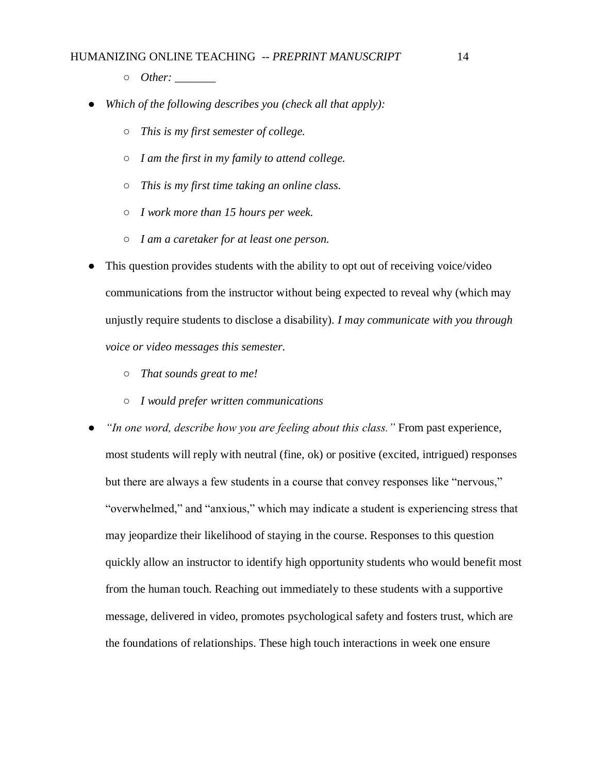- *Other: \_\_\_\_\_\_\_*
- *Which of the following describes you (check all that apply):* 
	- *This is my first semester of college.*
	- *I am the first in my family to attend college.*
	- *This is my first time taking an online class.*
	- *I work more than 15 hours per week.*
	- *I am a caretaker for at least one person.*
- This question provides students with the ability to opt out of receiving voice/video communications from the instructor without being expected to reveal why (which may unjustly require students to disclose a disability). *I may communicate with you through voice or video messages this semester.*
	- *That sounds great to me!*
	- *I would prefer written communications*
- "In one word, describe how you are feeling about this class." From past experience, most students will reply with neutral (fine, ok) or positive (excited, intrigued) responses but there are always a few students in a course that convey responses like "nervous," "overwhelmed," and "anxious," which may indicate a student is experiencing stress that may jeopardize their likelihood of staying in the course. Responses to this question quickly allow an instructor to identify high opportunity students who would benefit most from the human touch. Reaching out immediately to these students with a supportive message, delivered in video, promotes psychological safety and fosters trust, which are the foundations of relationships. These high touch interactions in week one ensure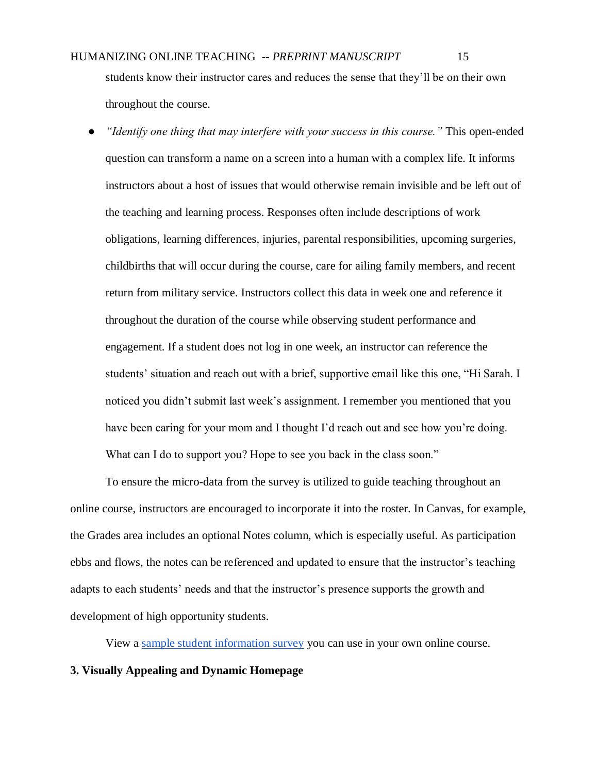students know their instructor cares and reduces the sense that they'll be on their own throughout the course.

*"Identify one thing that may interfere with your success in this course."* This open-ended question can transform a name on a screen into a human with a complex life. It informs instructors about a host of issues that would otherwise remain invisible and be left out of the teaching and learning process. Responses often include descriptions of work obligations, learning differences, injuries, parental responsibilities, upcoming surgeries, childbirths that will occur during the course, care for ailing family members, and recent return from military service. Instructors collect this data in week one and reference it throughout the duration of the course while observing student performance and engagement. If a student does not log in one week, an instructor can reference the students' situation and reach out with a brief, supportive email like this one, "Hi Sarah. I noticed you didn't submit last week's assignment. I remember you mentioned that you have been caring for your mom and I thought I'd reach out and see how you're doing. What can I do to support you? Hope to see you back in the class soon."

To ensure the micro-data from the survey is utilized to guide teaching throughout an online course, instructors are encouraged to incorporate it into the roster. In Canvas, for example, the Grades area includes an optional Notes column, which is especially useful. As participation ebbs and flows, the notes can be referenced and updated to ensure that the instructor's teaching adapts to each students' needs and that the instructor's presence supports the growth and development of high opportunity students.

View a [sample student information survey](https://brocansky.com/humanizing/student-info) you can use in your own online course.

# **3. Visually Appealing and Dynamic Homepage**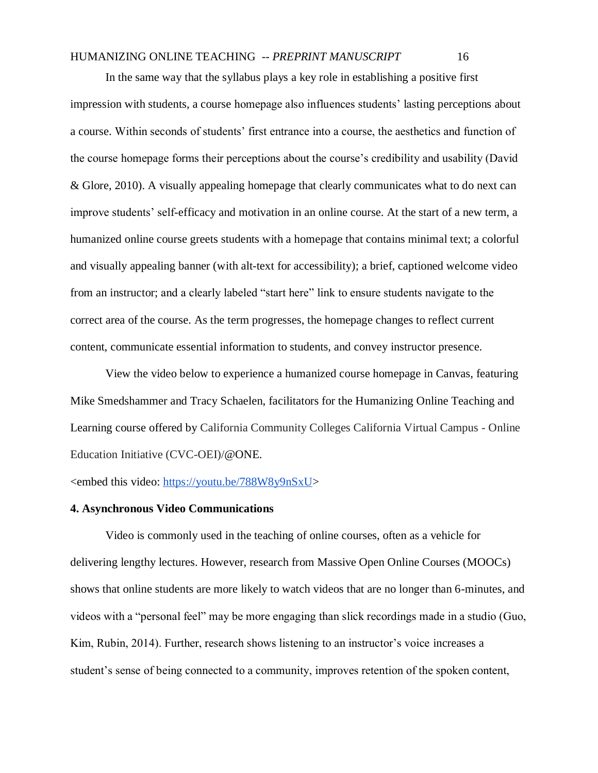In the same way that the syllabus plays a key role in establishing a positive first impression with students, a course homepage also influences students' lasting perceptions about a course. Within seconds of students' first entrance into a course, the aesthetics and function of the course homepage forms their perceptions about the course's credibility and usability (David & Glore, 2010). A visually appealing homepage that clearly communicates what to do next can improve students' self-efficacy and motivation in an online course. At the start of a new term, a humanized online course greets students with a homepage that contains minimal text; a colorful and visually appealing banner (with alt-text for accessibility); a brief, captioned welcome video from an instructor; and a clearly labeled "start here" link to ensure students navigate to the correct area of the course. As the term progresses, the homepage changes to reflect current content, communicate essential information to students, and convey instructor presence.

View the video below to experience a humanized course homepage in Canvas, featuring Mike Smedshammer and Tracy Schaelen, facilitators for the Humanizing Online Teaching and Learning course offered by California Community Colleges California Virtual Campus - Online Education Initiative (CVC-OEI)/@ONE.

<embed this video: [https://youtu.be/788W8y9nSxU>](https://youtu.be/788W8y9nSxU)

### **4. Asynchronous Video Communications**

Video is commonly used in the teaching of online courses, often as a vehicle for delivering lengthy lectures. However, research from Massive Open Online Courses (MOOCs) shows that online students are more likely to watch videos that are no longer than 6-minutes, and videos with a "personal feel" may be more engaging than slick recordings made in a studio (Guo, Kim, Rubin, 2014). Further, research shows listening to an instructor's voice increases a student's sense of being connected to a community, improves retention of the spoken content,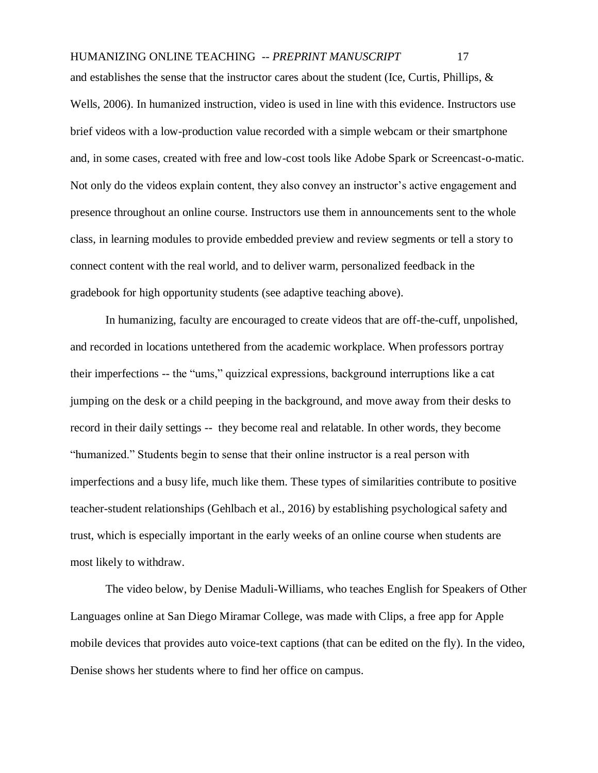and establishes the sense that the instructor cares about the student (Ice, Curtis, Phillips, & Wells, 2006). In humanized instruction, video is used in line with this evidence. Instructors use brief videos with a low-production value recorded with a simple webcam or their smartphone and, in some cases, created with free and low-cost tools like Adobe Spark or Screencast-o-matic. Not only do the videos explain content, they also convey an instructor's active engagement and presence throughout an online course. Instructors use them in announcements sent to the whole class, in learning modules to provide embedded preview and review segments or tell a story to connect content with the real world, and to deliver warm, personalized feedback in the gradebook for high opportunity students (see adaptive teaching above).

In humanizing, faculty are encouraged to create videos that are off-the-cuff, unpolished, and recorded in locations untethered from the academic workplace. When professors portray their imperfections -- the "ums," quizzical expressions, background interruptions like a cat jumping on the desk or a child peeping in the background, and move away from their desks to record in their daily settings -- they become real and relatable. In other words, they become "humanized." Students begin to sense that their online instructor is a real person with imperfections and a busy life, much like them. These types of similarities contribute to positive teacher-student relationships (Gehlbach et al., 2016) by establishing psychological safety and trust, which is especially important in the early weeks of an online course when students are most likely to withdraw.

The video below, by Denise Maduli-Williams, who teaches English for Speakers of Other Languages online at San Diego Miramar College, was made with Clips, a free app for Apple mobile devices that provides auto voice-text captions (that can be edited on the fly). In the video, Denise shows her students where to find her office on campus.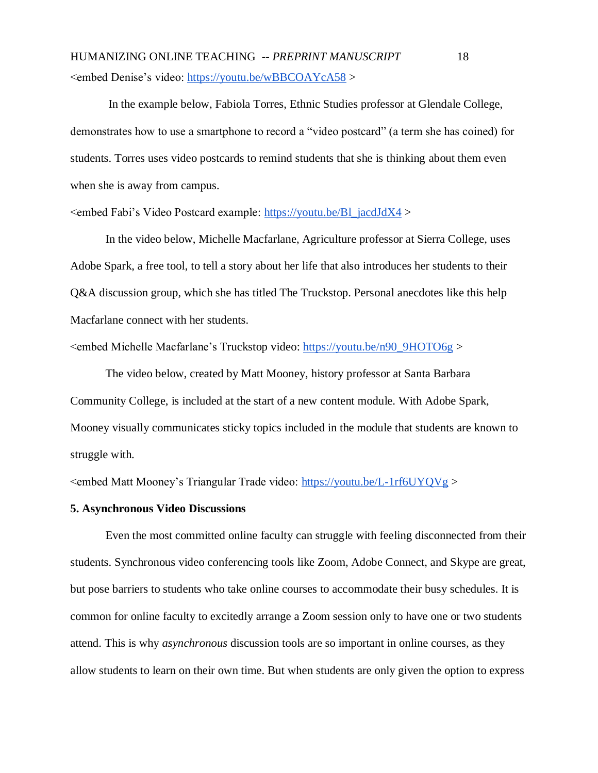HUMANIZING ONLINE TEACHING -- *PREPRINT MANUSCRIPT* 18 <embed Denise's video:<https://youtu.be/wBBCOAYcA58> >

In the example below, Fabiola Torres, Ethnic Studies professor at Glendale College, demonstrates how to use a smartphone to record a "video postcard" (a term she has coined) for students. Torres uses video postcards to remind students that she is thinking about them even when she is away from campus.

<embed Fabi's Video Postcard example: [https://youtu.be/Bl\\_jacdJdX4](https://youtu.be/Bl_jacdJdX4) >

In the video below, Michelle Macfarlane, Agriculture professor at Sierra College, uses Adobe Spark, a free tool, to tell a story about her life that also introduces her students to their Q&A discussion group, which she has titled The Truckstop. Personal anecdotes like this help Macfarlane connect with her students.

<embed Michelle Macfarlane's Truckstop video: [https://youtu.be/n90\\_9HOTO6g](https://youtu.be/n90_9HOTO6g) >

The video below, created by Matt Mooney, history professor at Santa Barbara Community College, is included at the start of a new content module. With Adobe Spark, Mooney visually communicates sticky topics included in the module that students are known to struggle with.

<embed Matt Mooney's Triangular Trade video:<https://youtu.be/L-1rf6UYQVg> >

## **5. Asynchronous Video Discussions**

Even the most committed online faculty can struggle with feeling disconnected from their students. Synchronous video conferencing tools like Zoom, Adobe Connect, and Skype are great, but pose barriers to students who take online courses to accommodate their busy schedules. It is common for online faculty to excitedly arrange a Zoom session only to have one or two students attend. This is why *asynchronous* discussion tools are so important in online courses, as they allow students to learn on their own time. But when students are only given the option to express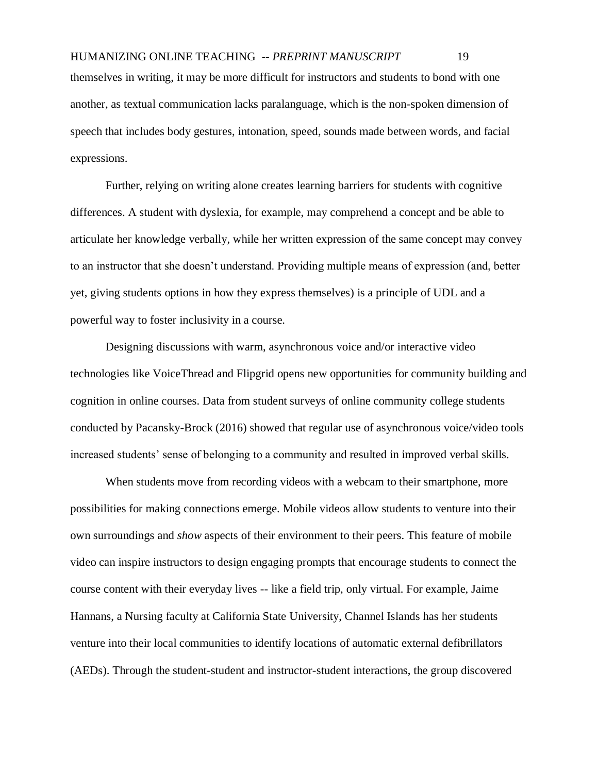another, as textual communication lacks paralanguage, which is the non-spoken dimension of speech that includes body gestures, intonation, speed, sounds made between words, and facial expressions.

Further, relying on writing alone creates learning barriers for students with cognitive differences. A student with dyslexia, for example, may comprehend a concept and be able to articulate her knowledge verbally, while her written expression of the same concept may convey to an instructor that she doesn't understand. Providing multiple means of expression (and, better yet, giving students options in how they express themselves) is a principle of UDL and a powerful way to foster inclusivity in a course.

Designing discussions with warm, asynchronous voice and/or interactive video technologies like VoiceThread and Flipgrid opens new opportunities for community building and cognition in online courses. Data from student surveys of online community college students conducted by Pacansky-Brock (2016) showed that regular use of asynchronous voice/video tools increased students' sense of belonging to a community and resulted in improved verbal skills.

When students move from recording videos with a webcam to their smartphone, more possibilities for making connections emerge. Mobile videos allow students to venture into their own surroundings and *show* aspects of their environment to their peers. This feature of mobile video can inspire instructors to design engaging prompts that encourage students to connect the course content with their everyday lives -- like a field trip, only virtual. For example, Jaime Hannans, a Nursing faculty at California State University, Channel Islands has her students venture into their local communities to identify locations of automatic external defibrillators (AEDs). Through the student-student and instructor-student interactions, the group discovered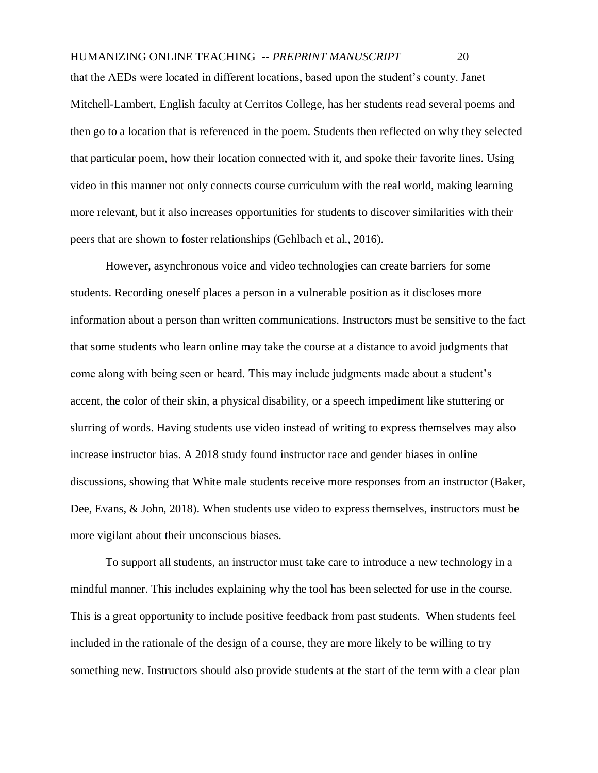that the AEDs were located in different locations, based upon the student's county. Janet Mitchell-Lambert, English faculty at Cerritos College, has her students read several poems and then go to a location that is referenced in the poem. Students then reflected on why they selected that particular poem, how their location connected with it, and spoke their favorite lines. Using video in this manner not only connects course curriculum with the real world, making learning more relevant, but it also increases opportunities for students to discover similarities with their peers that are shown to foster relationships (Gehlbach et al., 2016).

However, asynchronous voice and video technologies can create barriers for some students. Recording oneself places a person in a vulnerable position as it discloses more information about a person than written communications. Instructors must be sensitive to the fact that some students who learn online may take the course at a distance to avoid judgments that come along with being seen or heard. This may include judgments made about a student's accent, the color of their skin, a physical disability, or a speech impediment like stuttering or slurring of words. Having students use video instead of writing to express themselves may also increase instructor bias. A 2018 study found instructor race and gender biases in online discussions, showing that White male students receive more responses from an instructor (Baker, Dee, Evans, & John, 2018). When students use video to express themselves, instructors must be more vigilant about their unconscious biases.

To support all students, an instructor must take care to introduce a new technology in a mindful manner. This includes explaining why the tool has been selected for use in the course. This is a great opportunity to include positive feedback from past students. When students feel included in the rationale of the design of a course, they are more likely to be willing to try something new. Instructors should also provide students at the start of the term with a clear plan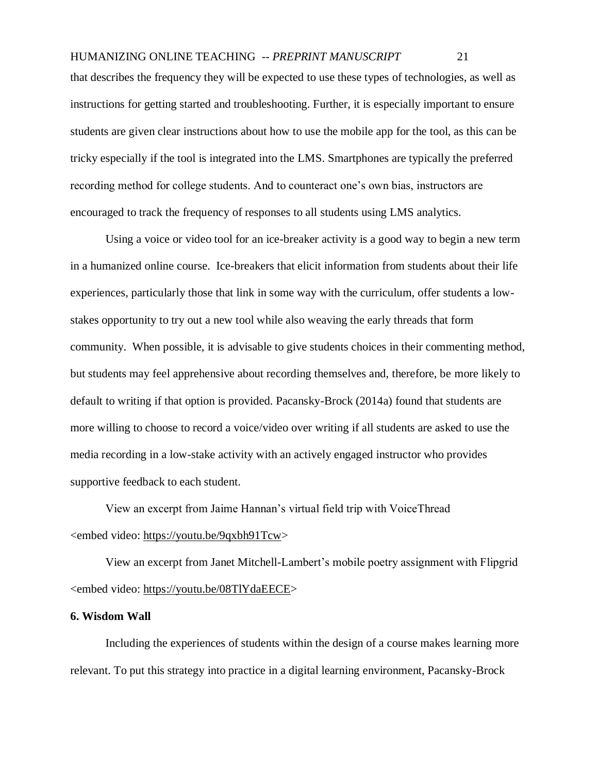that describes the frequency they will be expected to use these types of technologies, as well as instructions for getting started and troubleshooting. Further, it is especially important to ensure students are given clear instructions about how to use the mobile app for the tool, as this can be tricky especially if the tool is integrated into the LMS. Smartphones are typically the preferred recording method for college students. And to counteract one's own bias, instructors are encouraged to track the frequency of responses to all students using LMS analytics.

Using a voice or video tool for an ice-breaker activity is a good way to begin a new term in a humanized online course. Ice-breakers that elicit information from students about their life experiences, particularly those that link in some way with the curriculum, offer students a lowstakes opportunity to try out a new tool while also weaving the early threads that form community. When possible, it is advisable to give students choices in their commenting method, but students may feel apprehensive about recording themselves and, therefore, be more likely to default to writing if that option is provided. Pacansky-Brock (2014a) found that students are more willing to choose to record a voice/video over writing if all students are asked to use the media recording in a low-stake activity with an actively engaged instructor who provides supportive feedback to each student.

View an excerpt from Jaime Hannan's virtual field trip with VoiceThread <embed video: [https://youtu.be/9qxbh91Tcw>](https://youtu.be/9qxbh91Tcwc)

View an excerpt from Janet Mitchell-Lambert's mobile poetry assignment with Flipgrid <embed video: [https://youtu.be/08TlYdaEECE>](https://youtu.be/08TlYdaEECE)

# **6. Wisdom Wall**

Including the experiences of students within the design of a course makes learning more relevant. To put this strategy into practice in a digital learning environment, Pacansky-Brock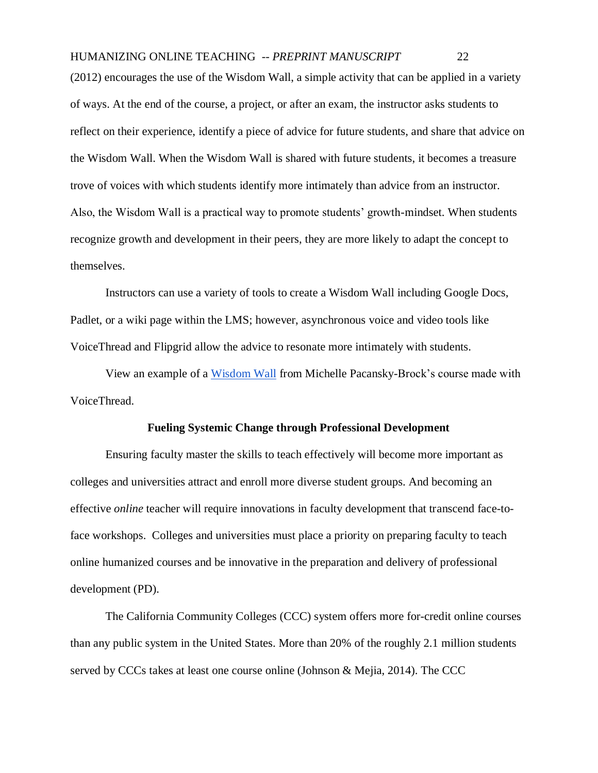(2012) encourages the use of the Wisdom Wall, a simple activity that can be applied in a variety of ways. At the end of the course, a project, or after an exam, the instructor asks students to reflect on their experience, identify a piece of advice for future students, and share that advice on the Wisdom Wall. When the Wisdom Wall is shared with future students, it becomes a treasure trove of voices with which students identify more intimately than advice from an instructor. Also, the Wisdom Wall is a practical way to promote students' growth-mindset. When students recognize growth and development in their peers, they are more likely to adapt the concept to themselves.

Instructors can use a variety of tools to create a Wisdom Wall including Google Docs, Padlet, or a wiki page within the LMS; however, asynchronous voice and video tools like VoiceThread and Flipgrid allow the advice to resonate more intimately with students.

View an example of a [Wisdom Wall](https://voicethread.com/share/5304832/) from Michelle Pacansky-Brock's course made with VoiceThread.

## **Fueling Systemic Change through Professional Development**

Ensuring faculty master the skills to teach effectively will become more important as colleges and universities attract and enroll more diverse student groups. And becoming an effective *online* teacher will require innovations in faculty development that transcend face-toface workshops. Colleges and universities must place a priority on preparing faculty to teach online humanized courses and be innovative in the preparation and delivery of professional development (PD).

The California Community Colleges (CCC) system offers more for-credit online courses than any public system in the United States. More than 20% of the roughly 2.1 million students served by CCCs takes at least one course online (Johnson & Mejia, 2014). The CCC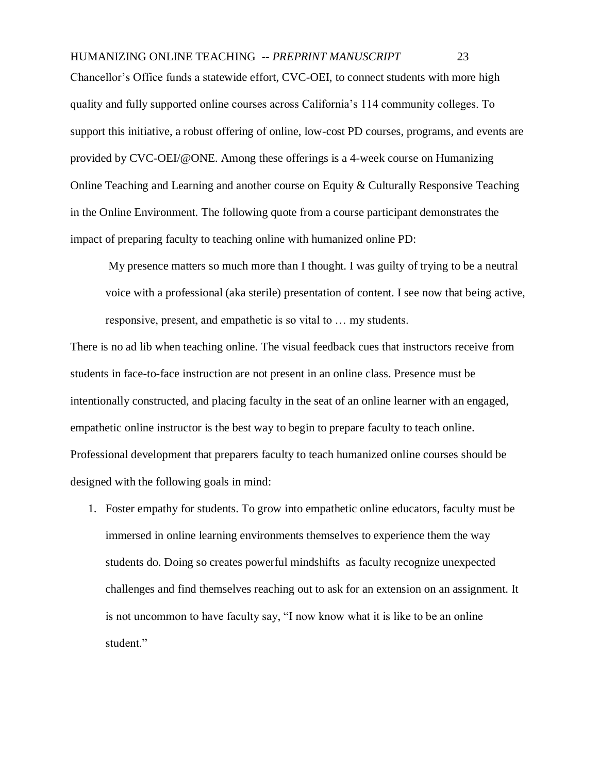# HUMANIZING ONLINE TEACHING -- *PREPRINT MANUSCRIPT* 23 Chancellor's Office funds a statewide effort, CVC-OEI, to connect students with more high quality and fully supported online courses across California's 114 community colleges. To support this initiative, a robust offering of online, low-cost PD courses, programs, and events are provided by CVC-OEI/@ONE. Among these offerings is a 4-week course on Humanizing Online Teaching and Learning and another course on Equity & Culturally Responsive Teaching in the Online Environment. The following quote from a course participant demonstrates the impact of preparing faculty to teaching online with humanized online PD:

My presence matters so much more than I thought. I was guilty of trying to be a neutral voice with a professional (aka sterile) presentation of content. I see now that being active, responsive, present, and empathetic is so vital to … my students.

There is no ad lib when teaching online. The visual feedback cues that instructors receive from students in face-to-face instruction are not present in an online class. Presence must be intentionally constructed, and placing faculty in the seat of an online learner with an engaged, empathetic online instructor is the best way to begin to prepare faculty to teach online. Professional development that preparers faculty to teach humanized online courses should be designed with the following goals in mind:

1. Foster empathy for students. To grow into empathetic online educators, faculty must be immersed in online learning environments themselves to experience them the way students do. Doing so creates powerful mindshifts as faculty recognize unexpected challenges and find themselves reaching out to ask for an extension on an assignment. It is not uncommon to have faculty say, "I now know what it is like to be an online student."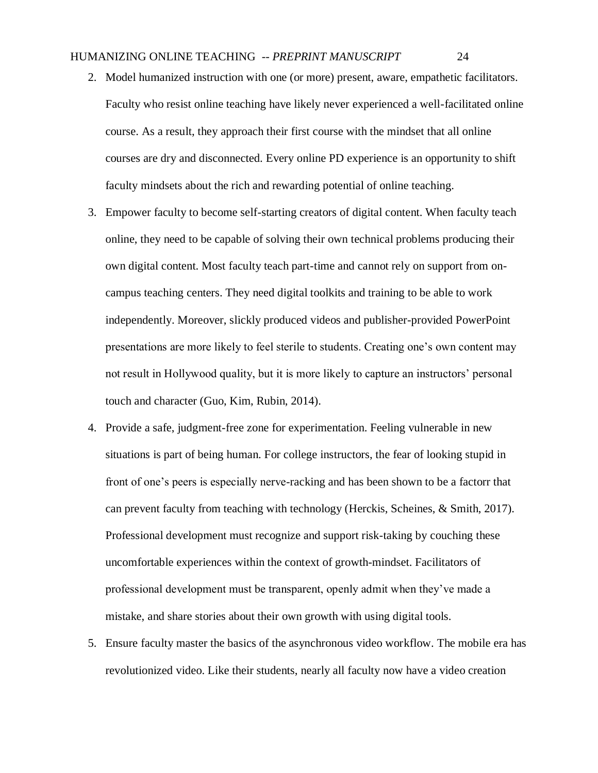- 2. Model humanized instruction with one (or more) present, aware, empathetic facilitators. Faculty who resist online teaching have likely never experienced a well-facilitated online course. As a result, they approach their first course with the mindset that all online courses are dry and disconnected. Every online PD experience is an opportunity to shift faculty mindsets about the rich and rewarding potential of online teaching.
- 3. Empower faculty to become self-starting creators of digital content. When faculty teach online, they need to be capable of solving their own technical problems producing their own digital content. Most faculty teach part-time and cannot rely on support from oncampus teaching centers. They need digital toolkits and training to be able to work independently. Moreover, slickly produced videos and publisher-provided PowerPoint presentations are more likely to feel sterile to students. Creating one's own content may not result in Hollywood quality, but it is more likely to capture an instructors' personal touch and character (Guo, Kim, Rubin, 2014).
- 4. Provide a safe, judgment-free zone for experimentation. Feeling vulnerable in new situations is part of being human. For college instructors, the fear of looking stupid in front of one's peers is especially nerve-racking and has been shown to be a factorr that can prevent faculty from teaching with technology (Herckis, Scheines, & Smith, 2017). Professional development must recognize and support risk-taking by couching these uncomfortable experiences within the context of growth-mindset. Facilitators of professional development must be transparent, openly admit when they've made a mistake, and share stories about their own growth with using digital tools.
- 5. Ensure faculty master the basics of the asynchronous video workflow. The mobile era has revolutionized video. Like their students, nearly all faculty now have a video creation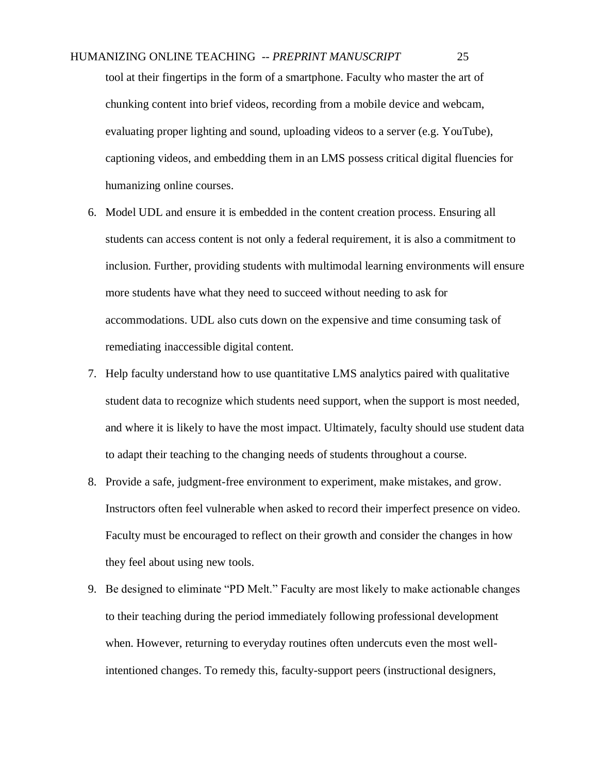tool at their fingertips in the form of a smartphone. Faculty who master the art of chunking content into brief videos, recording from a mobile device and webcam, evaluating proper lighting and sound, uploading videos to a server (e.g. YouTube), captioning videos, and embedding them in an LMS possess critical digital fluencies for humanizing online courses.

- 6. Model UDL and ensure it is embedded in the content creation process. Ensuring all students can access content is not only a federal requirement, it is also a commitment to inclusion. Further, providing students with multimodal learning environments will ensure more students have what they need to succeed without needing to ask for accommodations. UDL also cuts down on the expensive and time consuming task of remediating inaccessible digital content.
- 7. Help faculty understand how to use quantitative LMS analytics paired with qualitative student data to recognize which students need support, when the support is most needed, and where it is likely to have the most impact. Ultimately, faculty should use student data to adapt their teaching to the changing needs of students throughout a course.
- 8. Provide a safe, judgment-free environment to experiment, make mistakes, and grow. Instructors often feel vulnerable when asked to record their imperfect presence on video. Faculty must be encouraged to reflect on their growth and consider the changes in how they feel about using new tools.
- 9. Be designed to eliminate "PD Melt." Faculty are most likely to make actionable changes to their teaching during the period immediately following professional development when. However, returning to everyday routines often undercuts even the most wellintentioned changes. To remedy this, faculty-support peers (instructional designers,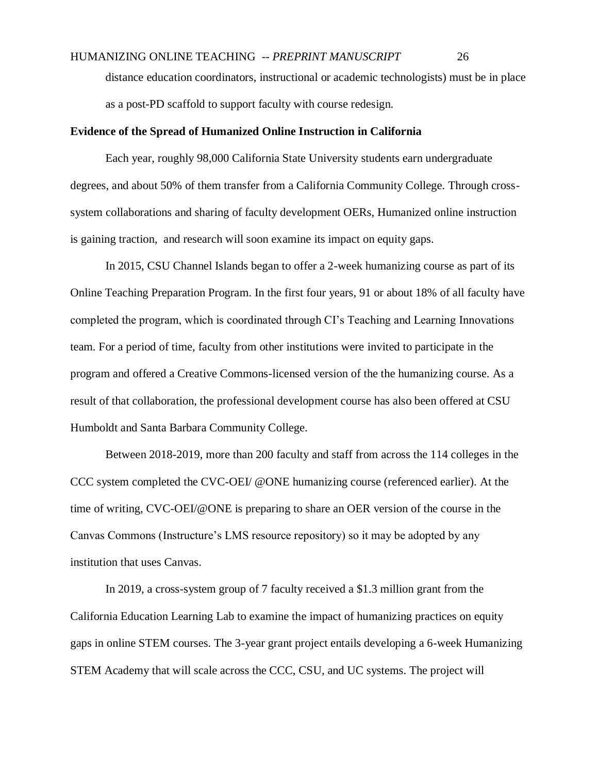distance education coordinators, instructional or academic technologists) must be in place as a post-PD scaffold to support faculty with course redesign.

## **Evidence of the Spread of Humanized Online Instruction in California**

Each year, roughly 98,000 California State University students earn undergraduate degrees, and about 50% of them transfer from a California Community College. Through crosssystem collaborations and sharing of faculty development OERs, Humanized online instruction is gaining traction, and research will soon examine its impact on equity gaps.

In 2015, CSU Channel Islands began to offer a 2-week humanizing course as part of its Online Teaching Preparation Program. In the first four years, 91 or about 18% of all faculty have completed the program, which is coordinated through CI's Teaching and Learning Innovations team. For a period of time, faculty from other institutions were invited to participate in the program and offered a Creative Commons-licensed version of the the humanizing course. As a result of that collaboration, the professional development course has also been offered at CSU Humboldt and Santa Barbara Community College.

Between 2018-2019, more than 200 faculty and staff from across the 114 colleges in the CCC system completed the CVC-OEI/ @ONE humanizing course (referenced earlier). At the time of writing, CVC-OEI/@ONE is preparing to share an OER version of the course in the Canvas Commons (Instructure's LMS resource repository) so it may be adopted by any institution that uses Canvas.

In 2019, a cross-system group of 7 faculty received a \$1.3 million grant from the California Education Learning Lab to examine the impact of humanizing practices on equity gaps in online STEM courses. The 3-year grant project entails developing a 6-week Humanizing STEM Academy that will scale across the CCC, CSU, and UC systems. The project will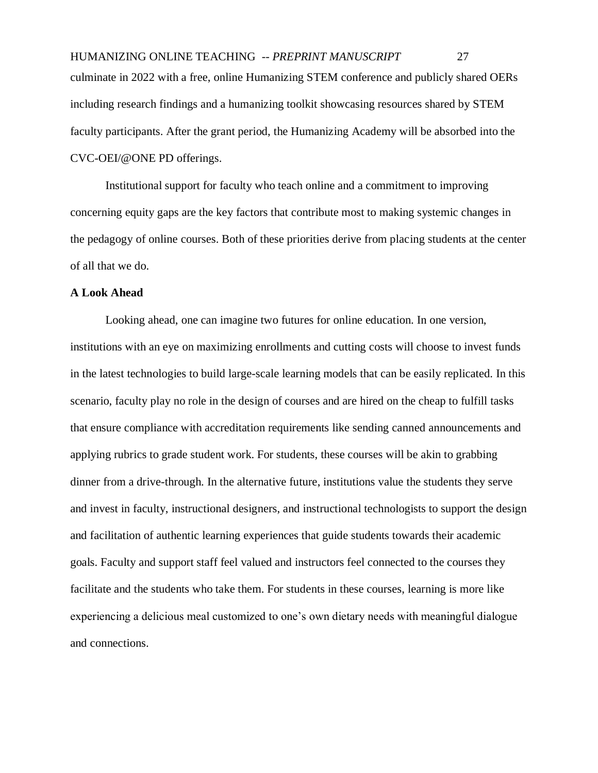HUMANIZING ONLINE TEACHING -- *PREPRINT MANUSCRIPT* 27 culminate in 2022 with a free, online Humanizing STEM conference and publicly shared OERs including research findings and a humanizing toolkit showcasing resources shared by STEM faculty participants. After the grant period, the Humanizing Academy will be absorbed into the CVC-OEI/@ONE PD offerings.

Institutional support for faculty who teach online and a commitment to improving concerning equity gaps are the key factors that contribute most to making systemic changes in the pedagogy of online courses. Both of these priorities derive from placing students at the center of all that we do.

## **A Look Ahead**

Looking ahead, one can imagine two futures for online education. In one version, institutions with an eye on maximizing enrollments and cutting costs will choose to invest funds in the latest technologies to build large-scale learning models that can be easily replicated. In this scenario, faculty play no role in the design of courses and are hired on the cheap to fulfill tasks that ensure compliance with accreditation requirements like sending canned announcements and applying rubrics to grade student work. For students, these courses will be akin to grabbing dinner from a drive-through. In the alternative future, institutions value the students they serve and invest in faculty, instructional designers, and instructional technologists to support the design and facilitation of authentic learning experiences that guide students towards their academic goals. Faculty and support staff feel valued and instructors feel connected to the courses they facilitate and the students who take them. For students in these courses, learning is more like experiencing a delicious meal customized to one's own dietary needs with meaningful dialogue and connections.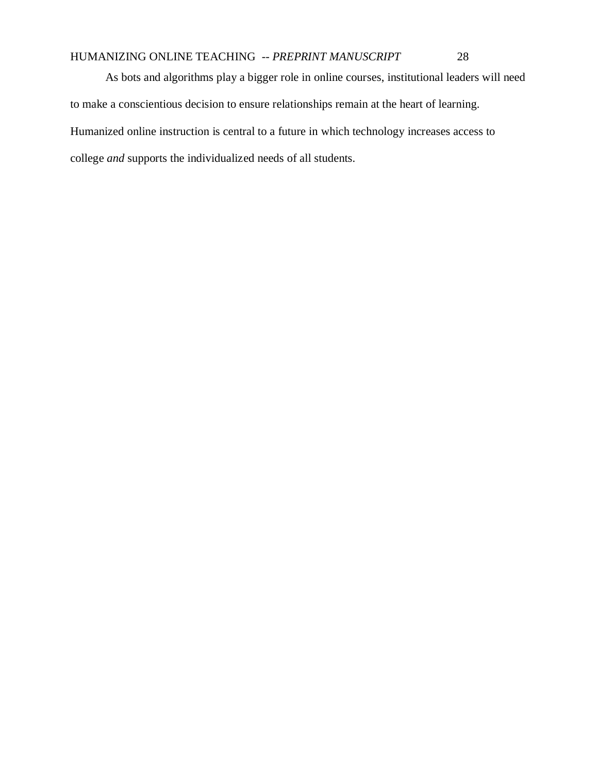As bots and algorithms play a bigger role in online courses, institutional leaders will need to make a conscientious decision to ensure relationships remain at the heart of learning. Humanized online instruction is central to a future in which technology increases access to college *and* supports the individualized needs of all students.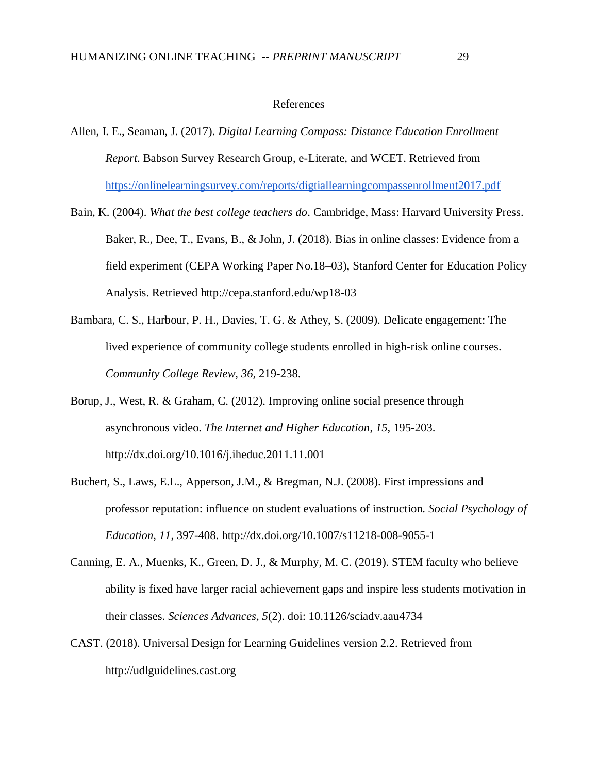#### References

- Allen, I. E., Seaman, J. (2017). *Digital Learning Compass: Distance Education Enrollment Report*. Babson Survey Research Group, e-Literate, and WCET. Retrieved from <https://onlinelearningsurvey.com/reports/digtiallearningcompassenrollment2017.pdf>
- Bain, K. (2004). *What the best college teachers do*. Cambridge, Mass: Harvard University Press. Baker, R., Dee, T., Evans, B., & John, J. (2018). Bias in online classes: Evidence from a field experiment (CEPA Working Paper No.18–03), Stanford Center for Education Policy Analysis. Retrieved http://cepa.stanford.edu/wp18-03
- Bambara, C. S., Harbour, P. H., Davies, T. G. & Athey, S. (2009). Delicate engagement: The lived experience of community college students enrolled in high-risk online courses. *Community College Review, 36,* 219-238.
- Borup, J., West, R. & Graham, C. (2012). Improving online social presence through asynchronous video. *The Internet and Higher Education*, *15*, 195-203. http://dx.doi.org/10.1016/j.iheduc.2011.11.001
- Buchert, S., Laws, E.L., Apperson, J.M., & Bregman, N.J. (2008). First impressions and professor reputation: influence on student evaluations of instruction. *Social Psychology of Education, 11*, 397-408. http://dx.doi.org/10.1007/s11218-008-9055-1
- Canning, E. A., Muenks, K., Green, D. J., & Murphy, M. C. (2019). STEM faculty who believe ability is fixed have larger racial achievement gaps and inspire less students motivation in their classes. *Sciences Advances, 5*(2). doi: 10.1126/sciadv.aau4734
- CAST. (2018). Universal Design for Learning Guidelines version 2.2. Retrieved from http://udlguidelines.cast.org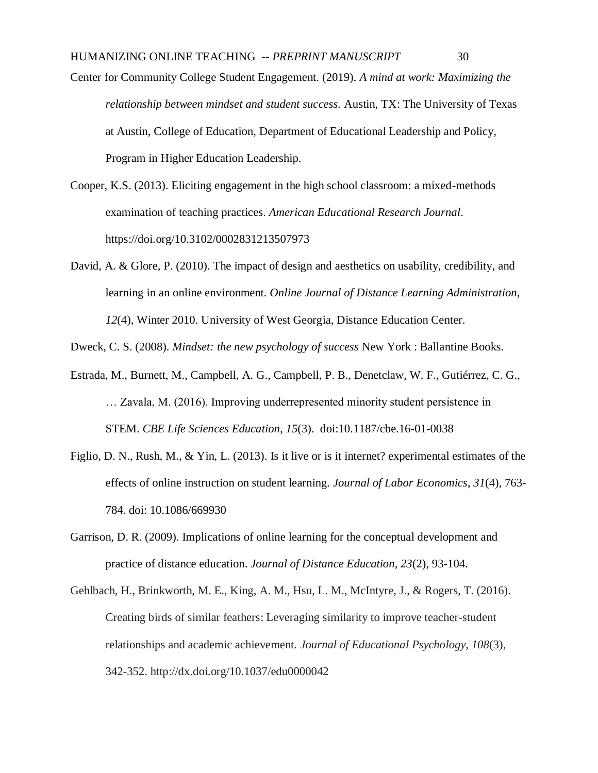Center for Community College Student Engagement. (2019). *A mind at work: Maximizing the relationship between mindset and student success.* Austin, TX: The University of Texas at Austin, College of Education, Department of Educational Leadership and Policy, Program in Higher Education Leadership.

- Cooper, K.S. (2013). Eliciting engagement in the high school classroom: a mixed-methods examination of teaching practices. *American Educational Research Journal*. https://doi.org/10.3102/0002831213507973
- David, A. & Glore, P. (2010). The impact of design and aesthetics on usability, credibility, and learning in an online environment. *Online Journal of Distance Learning Administration, 12*(4), Winter 2010. University of West Georgia, Distance Education Center.

Dweck, C. S. (2008). *Mindset: the new psychology of success* New York : Ballantine Books.

- Estrada, M., Burnett, M., Campbell, A. G., Campbell, P. B., Denetclaw, W. F., Gutiérrez, C. G., … Zavala, M. (2016). Improving underrepresented minority student persistence in STEM. *CBE Life Sciences Education*, *15*(3). doi:10.1187/cbe.16-01-0038
- Figlio, D. N., Rush, M., & Yin, L. (2013). Is it live or is it internet? experimental estimates of the effects of online instruction on student learning. *Journal of Labor Economics*, *31*(4), 763- 784. doi: 10.1086/669930
- Garrison, D. R. (2009). Implications of online learning for the conceptual development and practice of distance education. *Journal of Distance Education, 23*(2), 93-104.
- Gehlbach, H., Brinkworth, M. E., King, A. M., Hsu, L. M., McIntyre, J., & Rogers, T. (2016). Creating birds of similar feathers: Leveraging similarity to improve teacher-student relationships and academic achievement. *Journal of Educational Psychology, 108*(3), 342-352. http://dx.doi.org/10.1037/edu0000042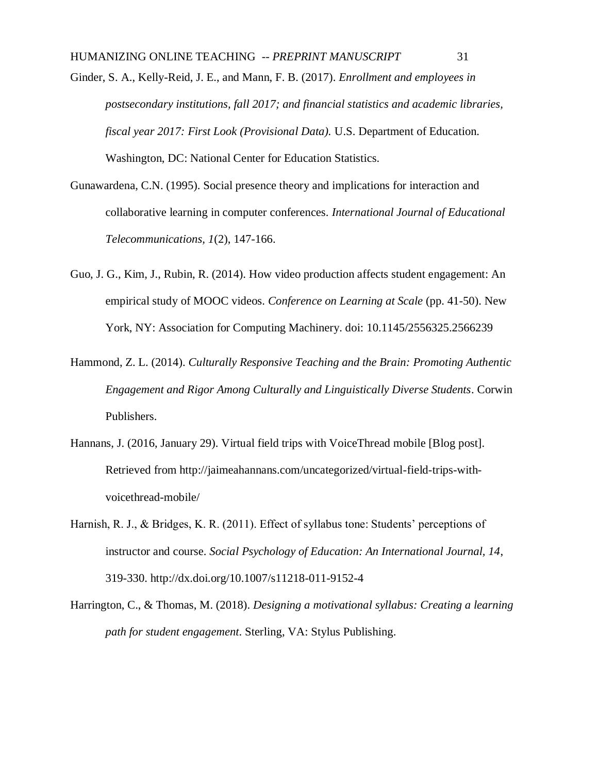Ginder, S. A., Kelly-Reid, J. E., and Mann, F. B. (2017). *Enrollment and employees in postsecondary institutions, fall 2017; and financial statistics and academic libraries, fiscal year 2017: First Look (Provisional Data).* U.S. Department of Education. Washington, DC: National Center for Education Statistics.

- Gunawardena, C.N. (1995). Social presence theory and implications for interaction and collaborative learning in computer conferences. *International Journal of Educational Telecommunications, 1*(2), 147-166.
- Guo, J. G., Kim, J., Rubin, R. (2014). How video production affects student engagement: An empirical study of MOOC videos. *Conference on Learning at Scale* (pp. 41-50). New York, NY: Association for Computing Machinery. doi: 10.1145/2556325.2566239
- Hammond, Z. L. (2014). *Culturally Responsive Teaching and the Brain: Promoting Authentic Engagement and Rigor Among Culturally and Linguistically Diverse Students*. Corwin Publishers.
- Hannans, J. (2016, January 29). Virtual field trips with VoiceThread mobile [Blog post]. Retrieved from http://jaimeahannans.com/uncategorized/virtual-field-trips-withvoicethread-mobile/
- Harnish, R. J., & Bridges, K. R. (2011). Effect of syllabus tone: Students' perceptions of instructor and course. *Social Psychology of Education: An International Journal, 14*, 319-330. http://dx.doi.org/10.1007/s11218-011-9152-4
- Harrington, C., & Thomas, M. (2018). *Designing a motivational syllabus: Creating a learning path for student engagement*. Sterling, VA: Stylus Publishing.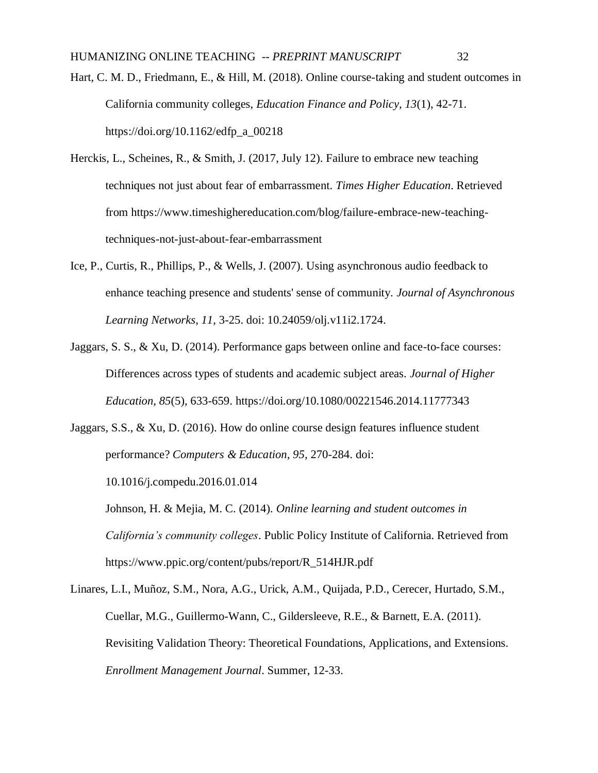Hart, C. M. D., Friedmann, E., & Hill, M. (2018). Online course-taking and student outcomes in California community colleges, *Education Finance and Policy, 13*(1), 42-71. https://doi.org/10.1162/edfp\_a\_00218

- Herckis, L., Scheines, R., & Smith, J. (2017, July 12). Failure to embrace new teaching techniques not just about fear of embarrassment. *Times Higher Education*. Retrieved from https://www.timeshighereducation.com/blog/failure-embrace-new-teachingtechniques-not-just-about-fear-embarrassment
- Ice, P., Curtis, R., Phillips, P., & Wells, J. (2007). Using asynchronous audio feedback to enhance teaching presence and students' sense of community. *Journal of Asynchronous Learning Networks, 11,* 3-25. doi: 10.24059/olj.v11i2.1724.
- Jaggars, S. S., & Xu, D. (2014). Performance gaps between online and face-to-face courses: Differences across types of students and academic subject areas. *Journal of Higher Education, 85*(5), 633-659. https://doi.org/10.1080/00221546.2014.11777343
- Jaggars, S.S., & Xu, D. (2016). How do online course design features influence student performance? *Computers & Education, 95*, 270-284. doi:

10.1016/j.compedu.2016.01.014

Johnson, H. & Mejia, M. C. (2014). *Online learning and student outcomes in California's community colleges*. Public Policy Institute of California. Retrieved from https://www.ppic.org/content/pubs/report/R\_514HJR.pdf

Linares, L.I., Muñoz, S.M., Nora, A.G., Urick, A.M., Quijada, P.D., Cerecer, Hurtado, S.M., Cuellar, M.G., Guillermo-Wann, C., Gildersleeve, R.E., & Barnett, E.A. (2011). Revisiting Validation Theory: Theoretical Foundations, Applications, and Extensions. *Enrollment Management Journal*. Summer, 12-33.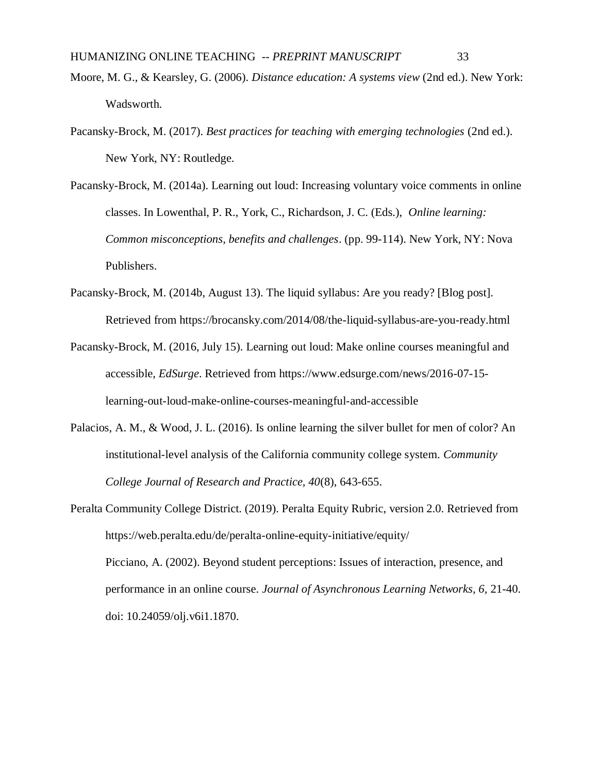- Moore, M. G., & Kearsley, G. (2006). *Distance education: A systems view* (2nd ed.). New York: Wadsworth.
- Pacansky-Brock, M. (2017). *Best practices for teaching with emerging technologies* (2nd ed.). New York, NY: Routledge.
- Pacansky-Brock, M. (2014a). Learning out loud: Increasing voluntary voice comments in online classes. In Lowenthal, P. R., York, C., Richardson, J. C. (Eds.), *Online learning: Common misconceptions, benefits and challenges*. (pp. 99-114). New York, NY: Nova Publishers.
- Pacansky-Brock, M. (2014b, August 13). The liquid syllabus: Are you ready? [Blog post]. Retrieved from https://brocansky.com/2014/08/the-liquid-syllabus-are-you-ready.html
- Pacansky-Brock, M. (2016, July 15). Learning out loud: Make online courses meaningful and accessible, *EdSurge*. Retrieved from https://www.edsurge.com/news/2016-07-15 learning-out-loud-make-online-courses-meaningful-and-accessible
- Palacios, A. M., & Wood, J. L. (2016). Is online learning the silver bullet for men of color? An institutional-level analysis of the California community college system. *Community College Journal of Research and Practice, 40*(8), 643-655.
- Peralta Community College District. (2019). Peralta Equity Rubric, version 2.0. Retrieved from https://web.peralta.edu/de/peralta-online-equity-initiative/equity/ Picciano, A. (2002). Beyond student perceptions: Issues of interaction, presence, and performance in an online course. *Journal of Asynchronous Learning Networks, 6,* 21-40. doi: 10.24059/olj.v6i1.1870.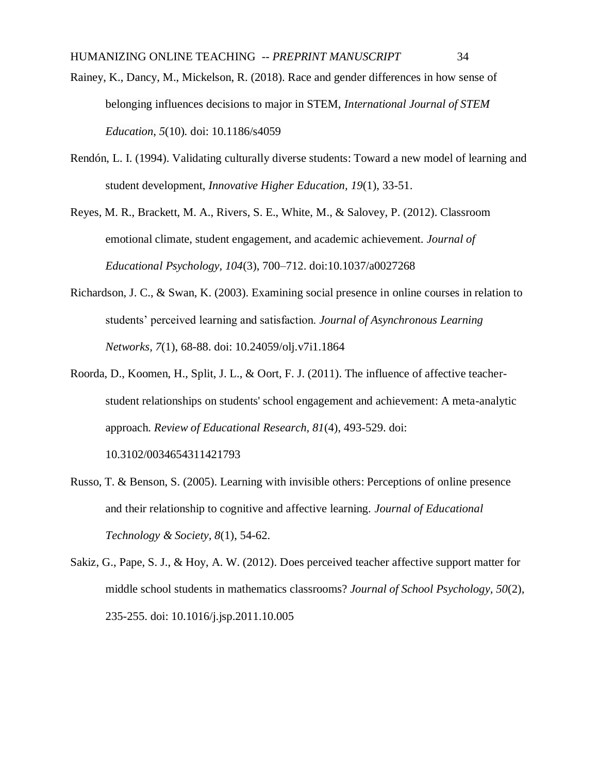Rainey, K., Dancy, M., Mickelson, R. (2018). Race and gender differences in how sense of belonging influences decisions to major in STEM, *International Journal of STEM Education, 5*(10)*.* doi: 10.1186/s4059

Rendón, L. I. (1994). Validating culturally diverse students: Toward a new model of learning and student development, *Innovative Higher Education, 19*(1), 33-51.

Reyes, M. R., Brackett, M. A., Rivers, S. E., White, M., & Salovey, P. (2012). Classroom emotional climate, student engagement, and academic achievement. *Journal of Educational Psychology, 104*(3), 700–712. doi:10.1037/a0027268

- Richardson, J. C., & Swan, K. (2003). Examining social presence in online courses in relation to students' perceived learning and satisfaction. *Journal of Asynchronous Learning Networks, 7*(1), 68-88. doi: 10.24059/olj.v7i1.1864
- Roorda, D., Koomen, H., Split, J. L., & Oort, F. J. (2011). The influence of affective teacherstudent relationships on students' school engagement and achievement: A meta-analytic approach. *Review of Educational Research, 81*(4), 493-529. doi: 10.3102/0034654311421793
- Russo, T. & Benson, S. (2005). Learning with invisible others: Perceptions of online presence and their relationship to cognitive and affective learning. *Journal of Educational Technology & Society, 8*(1), 54-62.

Sakiz, G., Pape, S. J., & Hoy, A. W. (2012). Does perceived teacher affective support matter for middle school students in mathematics classrooms? *Journal of School Psychology, 50*(2), 235-255. doi: 10.1016/j.jsp.2011.10.005